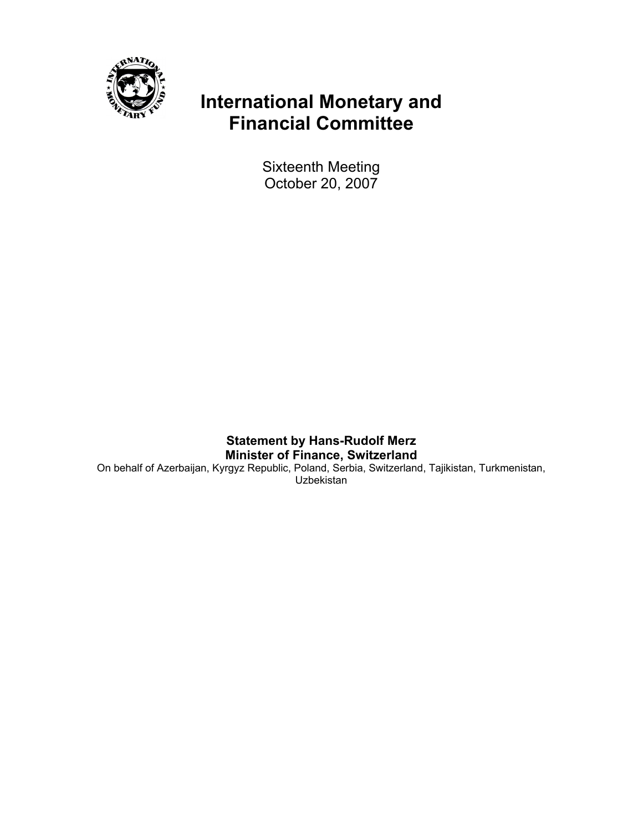

# **International Monetary and Financial Committee**

Sixteenth Meeting October 20, 2007

**Statement by Hans-Rudolf Merz Minister of Finance, Switzerland**  On behalf of Azerbaijan, Kyrgyz Republic, Poland, Serbia, Switzerland, Tajikistan, Turkmenistan, Uzbekistan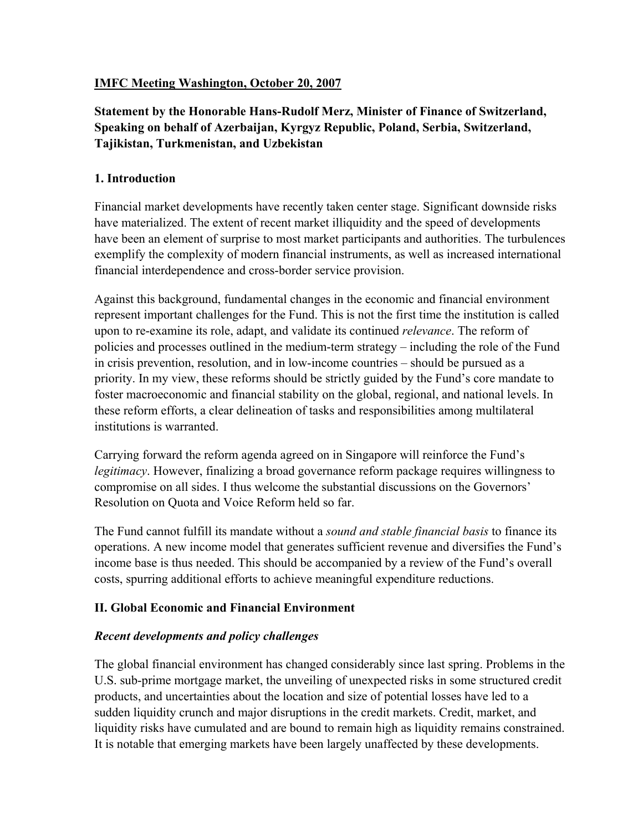## **IMFC Meeting Washington, October 20, 2007**

# **Statement by the Honorable Hans-Rudolf Merz, Minister of Finance of Switzerland, Speaking on behalf of Azerbaijan, Kyrgyz Republic, Poland, Serbia, Switzerland, Tajikistan, Turkmenistan, and Uzbekistan**

## **1. Introduction**

Financial market developments have recently taken center stage. Significant downside risks have materialized. The extent of recent market illiquidity and the speed of developments have been an element of surprise to most market participants and authorities. The turbulences exemplify the complexity of modern financial instruments, as well as increased international financial interdependence and cross-border service provision.

Against this background, fundamental changes in the economic and financial environment represent important challenges for the Fund. This is not the first time the institution is called upon to re-examine its role, adapt, and validate its continued *relevance*. The reform of policies and processes outlined in the medium-term strategy – including the role of the Fund in crisis prevention, resolution, and in low-income countries – should be pursued as a priority. In my view, these reforms should be strictly guided by the Fund's core mandate to foster macroeconomic and financial stability on the global, regional, and national levels. In these reform efforts, a clear delineation of tasks and responsibilities among multilateral institutions is warranted.

Carrying forward the reform agenda agreed on in Singapore will reinforce the Fund's *legitimacy*. However, finalizing a broad governance reform package requires willingness to compromise on all sides. I thus welcome the substantial discussions on the Governors' Resolution on Quota and Voice Reform held so far.

The Fund cannot fulfill its mandate without a *sound and stable financial basis* to finance its operations. A new income model that generates sufficient revenue and diversifies the Fund's income base is thus needed. This should be accompanied by a review of the Fund's overall costs, spurring additional efforts to achieve meaningful expenditure reductions.

# **II. Global Economic and Financial Environment**

# *Recent developments and policy challenges*

The global financial environment has changed considerably since last spring. Problems in the U.S. sub-prime mortgage market, the unveiling of unexpected risks in some structured credit products, and uncertainties about the location and size of potential losses have led to a sudden liquidity crunch and major disruptions in the credit markets. Credit, market, and liquidity risks have cumulated and are bound to remain high as liquidity remains constrained. It is notable that emerging markets have been largely unaffected by these developments.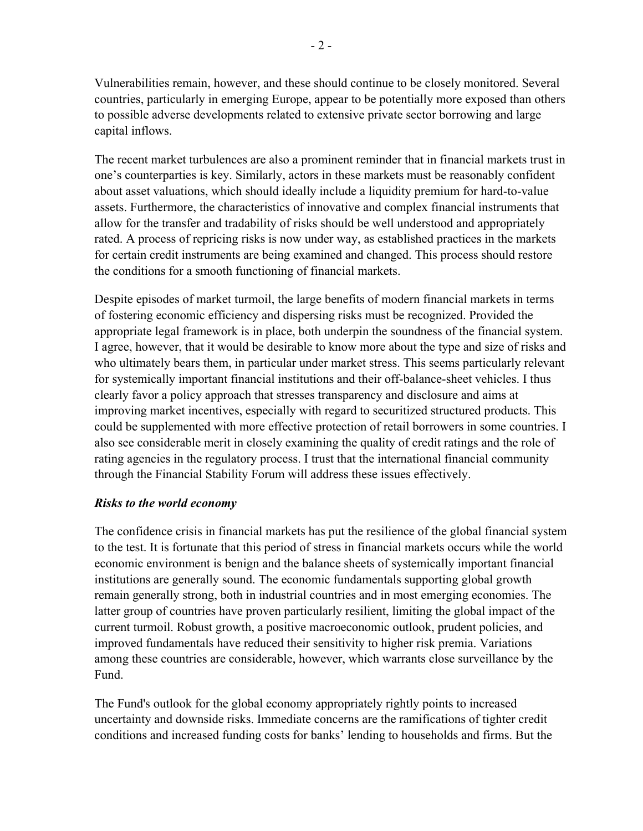Vulnerabilities remain, however, and these should continue to be closely monitored. Several countries, particularly in emerging Europe, appear to be potentially more exposed than others to possible adverse developments related to extensive private sector borrowing and large capital inflows.

The recent market turbulences are also a prominent reminder that in financial markets trust in one's counterparties is key. Similarly, actors in these markets must be reasonably confident about asset valuations, which should ideally include a liquidity premium for hard-to-value assets. Furthermore, the characteristics of innovative and complex financial instruments that allow for the transfer and tradability of risks should be well understood and appropriately rated. A process of repricing risks is now under way, as established practices in the markets for certain credit instruments are being examined and changed. This process should restore the conditions for a smooth functioning of financial markets.

Despite episodes of market turmoil, the large benefits of modern financial markets in terms of fostering economic efficiency and dispersing risks must be recognized. Provided the appropriate legal framework is in place, both underpin the soundness of the financial system. I agree, however, that it would be desirable to know more about the type and size of risks and who ultimately bears them, in particular under market stress. This seems particularly relevant for systemically important financial institutions and their off-balance-sheet vehicles. I thus clearly favor a policy approach that stresses transparency and disclosure and aims at improving market incentives, especially with regard to securitized structured products. This could be supplemented with more effective protection of retail borrowers in some countries. I also see considerable merit in closely examining the quality of credit ratings and the role of rating agencies in the regulatory process. I trust that the international financial community through the Financial Stability Forum will address these issues effectively.

### *Risks to the world economy*

The confidence crisis in financial markets has put the resilience of the global financial system to the test. It is fortunate that this period of stress in financial markets occurs while the world economic environment is benign and the balance sheets of systemically important financial institutions are generally sound. The economic fundamentals supporting global growth remain generally strong, both in industrial countries and in most emerging economies. The latter group of countries have proven particularly resilient, limiting the global impact of the current turmoil. Robust growth, a positive macroeconomic outlook, prudent policies, and improved fundamentals have reduced their sensitivity to higher risk premia. Variations among these countries are considerable, however, which warrants close surveillance by the Fund.

The Fund's outlook for the global economy appropriately rightly points to increased uncertainty and downside risks. Immediate concerns are the ramifications of tighter credit conditions and increased funding costs for banks' lending to households and firms. But the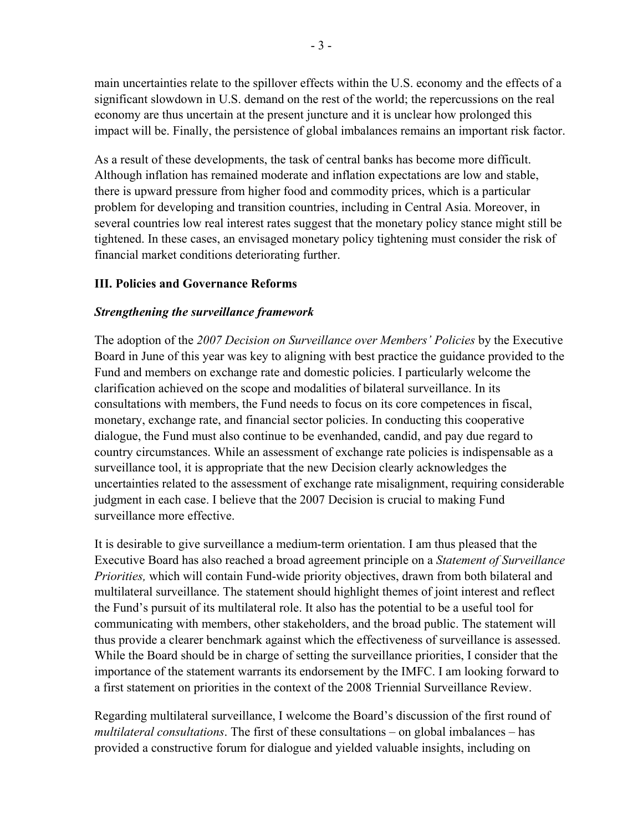main uncertainties relate to the spillover effects within the U.S. economy and the effects of a significant slowdown in U.S. demand on the rest of the world; the repercussions on the real economy are thus uncertain at the present juncture and it is unclear how prolonged this impact will be. Finally, the persistence of global imbalances remains an important risk factor.

As a result of these developments, the task of central banks has become more difficult. Although inflation has remained moderate and inflation expectations are low and stable, there is upward pressure from higher food and commodity prices, which is a particular problem for developing and transition countries, including in Central Asia. Moreover, in several countries low real interest rates suggest that the monetary policy stance might still be tightened. In these cases, an envisaged monetary policy tightening must consider the risk of financial market conditions deteriorating further.

#### **III. Policies and Governance Reforms**

#### *Strengthening the surveillance framework*

The adoption of the *2007 Decision on Surveillance over Members' Policies* by the Executive Board in June of this year was key to aligning with best practice the guidance provided to the Fund and members on exchange rate and domestic policies. I particularly welcome the clarification achieved on the scope and modalities of bilateral surveillance. In its consultations with members, the Fund needs to focus on its core competences in fiscal, monetary, exchange rate, and financial sector policies. In conducting this cooperative dialogue, the Fund must also continue to be evenhanded, candid, and pay due regard to country circumstances. While an assessment of exchange rate policies is indispensable as a surveillance tool, it is appropriate that the new Decision clearly acknowledges the uncertainties related to the assessment of exchange rate misalignment, requiring considerable judgment in each case. I believe that the 2007 Decision is crucial to making Fund surveillance more effective.

It is desirable to give surveillance a medium-term orientation. I am thus pleased that the Executive Board has also reached a broad agreement principle on a *Statement of Surveillance Priorities,* which will contain Fund-wide priority objectives, drawn from both bilateral and multilateral surveillance. The statement should highlight themes of joint interest and reflect the Fund's pursuit of its multilateral role. It also has the potential to be a useful tool for communicating with members, other stakeholders, and the broad public. The statement will thus provide a clearer benchmark against which the effectiveness of surveillance is assessed. While the Board should be in charge of setting the surveillance priorities, I consider that the importance of the statement warrants its endorsement by the IMFC. I am looking forward to a first statement on priorities in the context of the 2008 Triennial Surveillance Review.

Regarding multilateral surveillance, I welcome the Board's discussion of the first round of *multilateral consultations*. The first of these consultations – on global imbalances – has provided a constructive forum for dialogue and yielded valuable insights, including on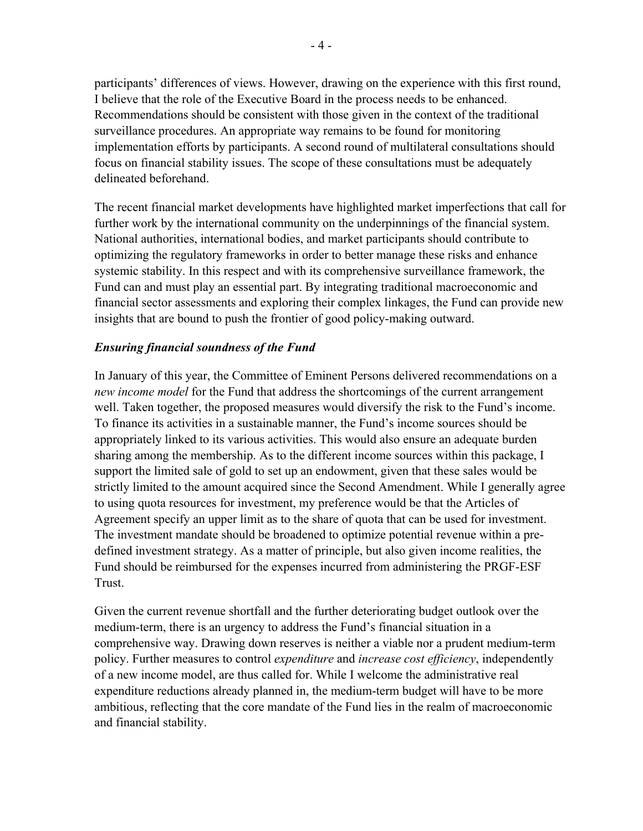participants' differences of views. However, drawing on the experience with this first round, I believe that the role of the Executive Board in the process needs to be enhanced. Recommendations should be consistent with those given in the context of the traditional surveillance procedures. An appropriate way remains to be found for monitoring implementation efforts by participants. A second round of multilateral consultations should focus on financial stability issues. The scope of these consultations must be adequately delineated beforehand.

The recent financial market developments have highlighted market imperfections that call for further work by the international community on the underpinnings of the financial system. National authorities, international bodies, and market participants should contribute to optimizing the regulatory frameworks in order to better manage these risks and enhance systemic stability. In this respect and with its comprehensive surveillance framework, the Fund can and must play an essential part. By integrating traditional macroeconomic and financial sector assessments and exploring their complex linkages, the Fund can provide new insights that are bound to push the frontier of good policy-making outward.

## *Ensuring financial soundness of the Fund*

In January of this year, the Committee of Eminent Persons delivered recommendations on a *new income model* for the Fund that address the shortcomings of the current arrangement well. Taken together, the proposed measures would diversify the risk to the Fund's income. To finance its activities in a sustainable manner, the Fund's income sources should be appropriately linked to its various activities. This would also ensure an adequate burden sharing among the membership. As to the different income sources within this package, I support the limited sale of gold to set up an endowment, given that these sales would be strictly limited to the amount acquired since the Second Amendment. While I generally agree to using quota resources for investment, my preference would be that the Articles of Agreement specify an upper limit as to the share of quota that can be used for investment. The investment mandate should be broadened to optimize potential revenue within a predefined investment strategy. As a matter of principle, but also given income realities, the Fund should be reimbursed for the expenses incurred from administering the PRGF-ESF Trust.

Given the current revenue shortfall and the further deteriorating budget outlook over the medium-term, there is an urgency to address the Fund's financial situation in a comprehensive way. Drawing down reserves is neither a viable nor a prudent medium-term policy. Further measures to control *expenditure* and *increase cost efficiency*, independently of a new income model, are thus called for. While I welcome the administrative real expenditure reductions already planned in, the medium-term budget will have to be more ambitious, reflecting that the core mandate of the Fund lies in the realm of macroeconomic and financial stability.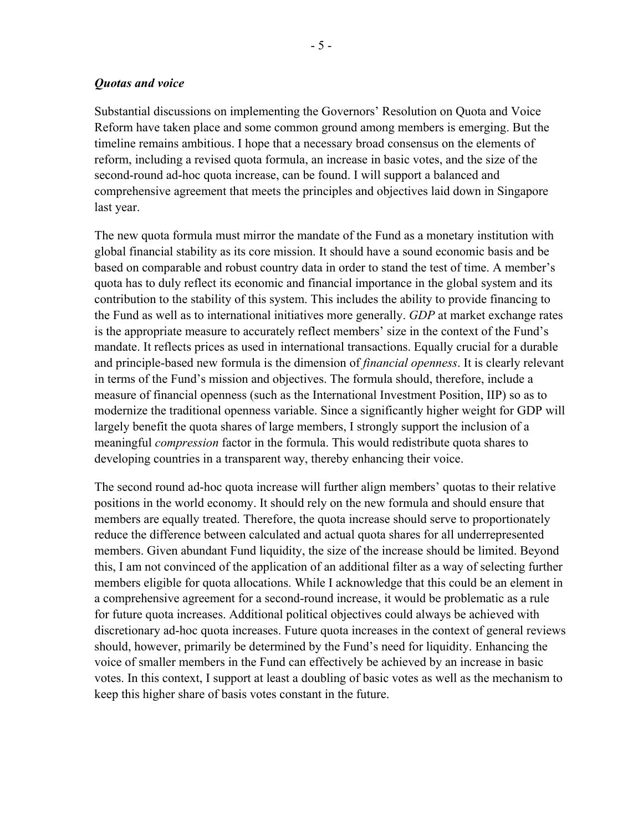Substantial discussions on implementing the Governors' Resolution on Quota and Voice Reform have taken place and some common ground among members is emerging. But the timeline remains ambitious. I hope that a necessary broad consensus on the elements of reform, including a revised quota formula, an increase in basic votes, and the size of the second-round ad-hoc quota increase, can be found. I will support a balanced and comprehensive agreement that meets the principles and objectives laid down in Singapore last year.

The new quota formula must mirror the mandate of the Fund as a monetary institution with global financial stability as its core mission. It should have a sound economic basis and be based on comparable and robust country data in order to stand the test of time. A member's quota has to duly reflect its economic and financial importance in the global system and its contribution to the stability of this system. This includes the ability to provide financing to the Fund as well as to international initiatives more generally. *GDP* at market exchange rates is the appropriate measure to accurately reflect members' size in the context of the Fund's mandate. It reflects prices as used in international transactions. Equally crucial for a durable and principle-based new formula is the dimension of *financial openness*. It is clearly relevant in terms of the Fund's mission and objectives. The formula should, therefore, include a measure of financial openness (such as the International Investment Position, IIP) so as to modernize the traditional openness variable. Since a significantly higher weight for GDP will largely benefit the quota shares of large members, I strongly support the inclusion of a meaningful *compression* factor in the formula. This would redistribute quota shares to developing countries in a transparent way, thereby enhancing their voice.

The second round ad-hoc quota increase will further align members' quotas to their relative positions in the world economy. It should rely on the new formula and should ensure that members are equally treated. Therefore, the quota increase should serve to proportionately reduce the difference between calculated and actual quota shares for all underrepresented members. Given abundant Fund liquidity, the size of the increase should be limited. Beyond this, I am not convinced of the application of an additional filter as a way of selecting further members eligible for quota allocations. While I acknowledge that this could be an element in a comprehensive agreement for a second-round increase, it would be problematic as a rule for future quota increases. Additional political objectives could always be achieved with discretionary ad-hoc quota increases. Future quota increases in the context of general reviews should, however, primarily be determined by the Fund's need for liquidity. Enhancing the voice of smaller members in the Fund can effectively be achieved by an increase in basic votes. In this context, I support at least a doubling of basic votes as well as the mechanism to keep this higher share of basis votes constant in the future.